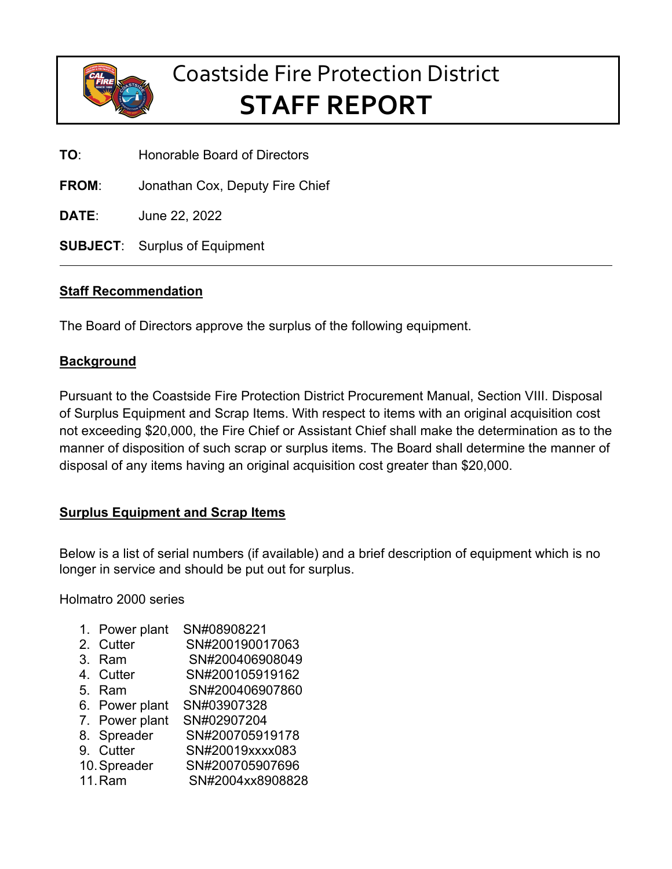

## Coastside Fire Protection District **STAFF REPORT**

**TO**: Honorable Board of Directors

**FROM**: Jonathan Cox, Deputy Fire Chief

**DATE**: June 22, 2022

**SUBJECT**: Surplus of Equipment

## **Staff Recommendation**

The Board of Directors approve the surplus of the following equipment.

## **Background**

Pursuant to the Coastside Fire Protection District Procurement Manual, Section VIII. Disposal of Surplus Equipment and Scrap Items. With respect to items with an original acquisition cost not exceeding \$20,000, the Fire Chief or Assistant Chief shall make the determination as to the manner of disposition of such scrap or surplus items. The Board shall determine the manner of disposal of any items having an original acquisition cost greater than \$20,000.

## **Surplus Equipment and Scrap Items**

Below is a list of serial numbers (if available) and a brief description of equipment which is no longer in service and should be put out for surplus.

Holmatro 2000 series

- 1. Power plant SN#08908221
- 2. Cutter SN#200190017063
- 3. Ram SN#200406908049
- 4. Cutter SN#200105919162
- 5. Ram SN#200406907860
- 6. Power plant SN#03907328
- 7. Power plant SN#02907204
- 8. Spreader SN#200705919178
- 9. Cutter SN#20019xxxx083
- 10.Spreader SN#200705907696
- 11.Ram SN#2004xx8908828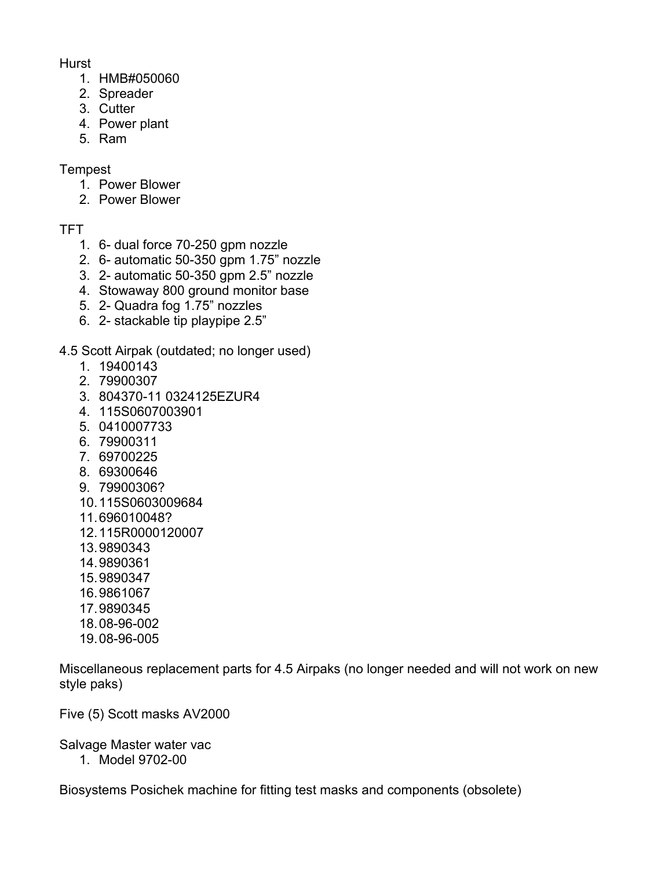Hurst

- 1. HMB#050060
- 2. Spreader
- 3. Cutter
- 4. Power plant
- 5. Ram

**Tempest** 

- 1. Power Blower
- 2. Power Blower

TFT

- 1. 6- dual force 70-250 gpm nozzle
- 2. 6- automatic 50-350 gpm 1.75" nozzle
- 3. 2- automatic 50-350 gpm 2.5" nozzle
- 4. Stowaway 800 ground monitor base
- 5. 2- Quadra fog 1.75" nozzles
- 6. 2- stackable tip playpipe 2.5"

4.5 Scott Airpak (outdated; no longer used)

- 1. 19400143
- 2. 79900307
- 3. 804370-11 0324125EZUR4
- 4. 115S0607003901
- 5. 0410007733
- 6. 79900311
- 7. 69700225
- 8. 69300646
- 9. 79900306?
- 10.115S0603009684
- 11.696010048?
- 12.115R0000120007
- 13.9890343
- 14.9890361
- 15.9890347
- 16.9861067
- 17.9890345
- 18.08-96-002
- 19.08-96-005

Miscellaneous replacement parts for 4.5 Airpaks (no longer needed and will not work on new style paks)

Five (5) Scott masks AV2000

Salvage Master water vac

1. Model 9702-00

Biosystems Posichek machine for fitting test masks and components (obsolete)